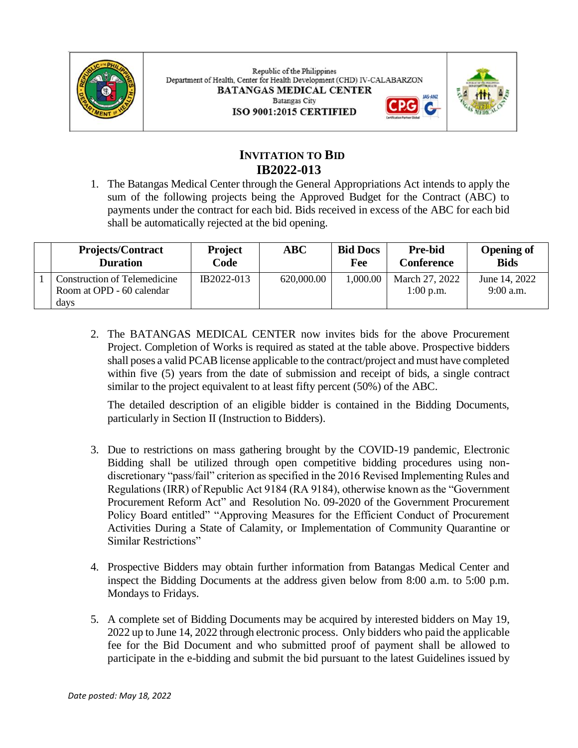

Republic of the Philippines Department of Health, Center for Health Development (CHD) IV-CALABARZON **BATANGAS MEDICAL CENTER Batangas City** ISO 9001:2015 CERTIFIED



# **INVITATION TO BID IB2022-013**

1. The Batangas Medical Center through the General Appropriations Act intends to apply the sum of the following projects being the Approved Budget for the Contract (ABC) to payments under the contract for each bid. Bids received in excess of the ABC for each bid shall be automatically rejected at the bid opening.

| <b>Projects/Contract</b><br><b>Duration</b> | <b>Project</b><br>Code | ABC        | <b>Bid Docs</b><br>Fee | <b>Pre-bid</b><br>Conference | <b>Opening of</b><br><b>Bids</b> |
|---------------------------------------------|------------------------|------------|------------------------|------------------------------|----------------------------------|
| Construction of Telemedicine                | IB2022-013             | 620,000.00 | 1,000.00               | March 27, 2022               | June 14, 2022                    |
| Room at OPD - 60 calendar<br>days           |                        |            |                        | $1:00$ p.m.                  | 9:00 a.m.                        |

2. The BATANGAS MEDICAL CENTER now invites bids for the above Procurement Project. Completion of Works is required as stated at the table above. Prospective bidders shall poses a valid PCAB license applicable to the contract/project and must have completed within five (5) years from the date of submission and receipt of bids, a single contract similar to the project equivalent to at least fifty percent (50%) of the ABC.

The detailed description of an eligible bidder is contained in the Bidding Documents, particularly in Section II (Instruction to Bidders).

- 3. Due to restrictions on mass gathering brought by the COVID-19 pandemic, Electronic Bidding shall be utilized through open competitive bidding procedures using nondiscretionary "pass/fail" criterion as specified in the 2016 Revised Implementing Rules and Regulations (IRR) of Republic Act 9184 (RA 9184), otherwise known as the "Government Procurement Reform Act" and Resolution No. 09-2020 of the Government Procurement Policy Board entitled" "Approving Measures for the Efficient Conduct of Procurement Activities During a State of Calamity, or Implementation of Community Quarantine or Similar Restrictions"
- 4. Prospective Bidders may obtain further information from Batangas Medical Center and inspect the Bidding Documents at the address given below from 8:00 a.m. to 5:00 p.m. Mondays to Fridays.
- 5. A complete set of Bidding Documents may be acquired by interested bidders on May 19, 2022 up to June 14, 2022 through electronic process. Only bidders who paid the applicable fee for the Bid Document and who submitted proof of payment shall be allowed to participate in the e-bidding and submit the bid pursuant to the latest Guidelines issued by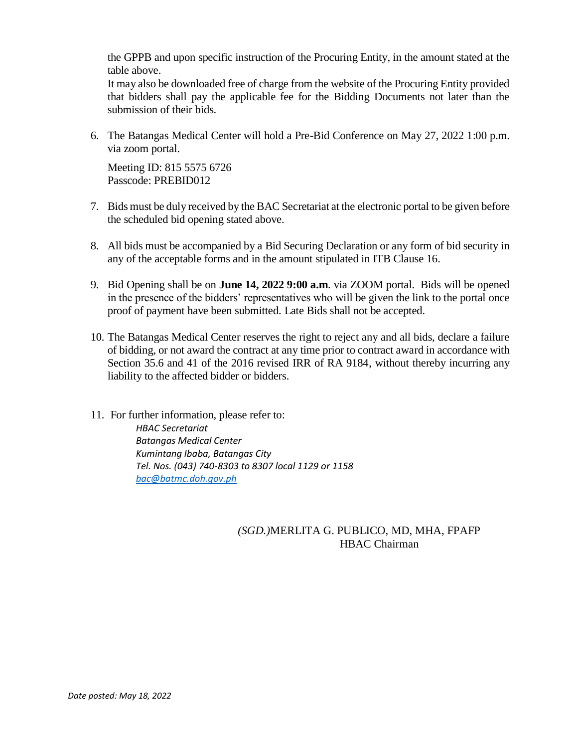the GPPB and upon specific instruction of the Procuring Entity, in the amount stated at the table above.

It may also be downloaded free of charge from the website of the Procuring Entity provided that bidders shall pay the applicable fee for the Bidding Documents not later than the submission of their bids.

6. The Batangas Medical Center will hold a Pre-Bid Conference on May 27, 2022 1:00 p.m. via zoom portal.

Meeting ID: 815 5575 6726 Passcode: PREBID012

- 7. Bids must be duly received by the BAC Secretariat at the electronic portal to be given before the scheduled bid opening stated above.
- 8. All bids must be accompanied by a Bid Securing Declaration or any form of bid security in any of the acceptable forms and in the amount stipulated in ITB Clause 16.
- 9. Bid Opening shall be on **June 14, 2022 9:00 a.m**. via ZOOM portal. Bids will be opened in the presence of the bidders' representatives who will be given the link to the portal once proof of payment have been submitted. Late Bids shall not be accepted.
- 10. The Batangas Medical Center reserves the right to reject any and all bids, declare a failure of bidding, or not award the contract at any time prior to contract award in accordance with Section 35.6 and 41 of the 2016 revised IRR of RA 9184, without thereby incurring any liability to the affected bidder or bidders.
- 11. For further information, please refer to: *HBAC Secretariat Batangas Medical Center Kumintang Ibaba, Batangas City Tel. Nos. (043) 740-8303 to 8307 local 1129 or 1158 [bac@batmc.doh.gov.ph](mailto:bac@batmc.doh.gov.ph)*

#### *(SGD.)*MERLITA G. PUBLICO, MD, MHA, FPAFP HBAC Chairman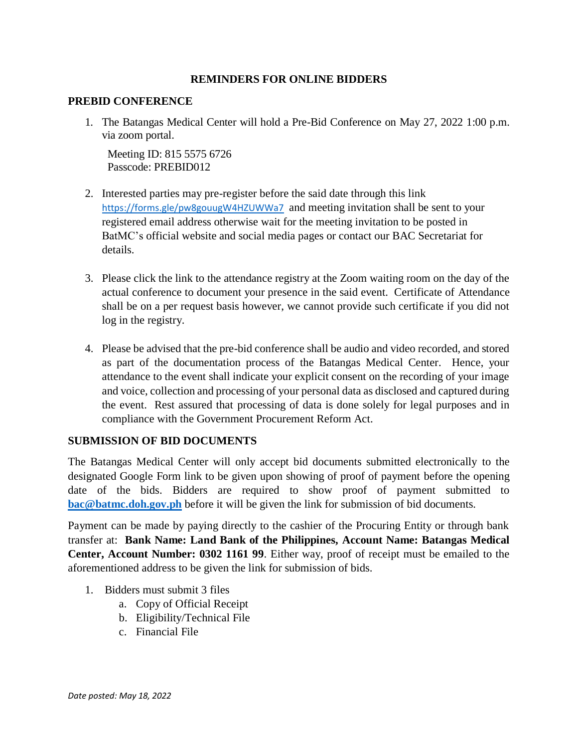#### **REMINDERS FOR ONLINE BIDDERS**

#### **PREBID CONFERENCE**

1. The Batangas Medical Center will hold a Pre-Bid Conference on May 27, 2022 1:00 p.m. via zoom portal.

Meeting ID: 815 5575 6726 Passcode: PREBID012

- 2. Interested parties may pre-register before the said date through this link [https://forms.gle/p](https://forms.gle/W4GigdxKq5AuRf287)w8gouugW4HZUWWa7 and meeting invitation shall be sent to your registered email address otherwise wait for the meeting invitation to be posted in BatMC's official website and social media pages or contact our BAC Secretariat for details.
- 3. Please click the link to the attendance registry at the Zoom waiting room on the day of the actual conference to document your presence in the said event. Certificate of Attendance shall be on a per request basis however, we cannot provide such certificate if you did not log in the registry.
- 4. Please be advised that the pre-bid conference shall be audio and video recorded, and stored as part of the documentation process of the Batangas Medical Center. Hence, your attendance to the event shall indicate your explicit consent on the recording of your image and voice, collection and processing of your personal data as disclosed and captured during the event. Rest assured that processing of data is done solely for legal purposes and in compliance with the Government Procurement Reform Act.

### **SUBMISSION OF BID DOCUMENTS**

The Batangas Medical Center will only accept bid documents submitted electronically to the designated Google Form link to be given upon showing of proof of payment before the opening date of the bids. Bidders are required to show proof of payment submitted to **[bac@batmc.doh.gov.ph](mailto:bac@batmc.doh.gov.ph)** before it will be given the link for submission of bid documents.

Payment can be made by paying directly to the cashier of the Procuring Entity or through bank transfer at: **Bank Name: Land Bank of the Philippines, Account Name: Batangas Medical Center, Account Number: 0302 1161 99**. Either way, proof of receipt must be emailed to the aforementioned address to be given the link for submission of bids.

- 1. Bidders must submit 3 files
	- a. Copy of Official Receipt
	- b. Eligibility/Technical File
	- c. Financial File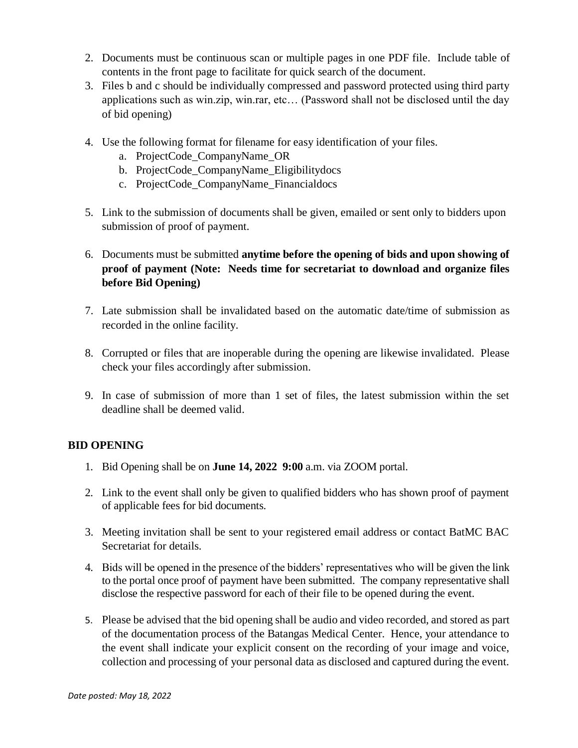- 2. Documents must be continuous scan or multiple pages in one PDF file. Include table of contents in the front page to facilitate for quick search of the document.
- 3. Files b and c should be individually compressed and password protected using third party applications such as win.zip, win.rar, etc… (Password shall not be disclosed until the day of bid opening)
- 4. Use the following format for filename for easy identification of your files.
	- a. ProjectCode\_CompanyName\_OR
	- b. ProjectCode\_CompanyName\_Eligibilitydocs
	- c. ProjectCode\_CompanyName\_Financialdocs
- 5. Link to the submission of documents shall be given, emailed or sent only to bidders upon submission of proof of payment.
- 6. Documents must be submitted **anytime before the opening of bids and upon showing of proof of payment (Note: Needs time for secretariat to download and organize files before Bid Opening)**
- 7. Late submission shall be invalidated based on the automatic date/time of submission as recorded in the online facility.
- 8. Corrupted or files that are inoperable during the opening are likewise invalidated. Please check your files accordingly after submission.
- 9. In case of submission of more than 1 set of files, the latest submission within the set deadline shall be deemed valid.

## **BID OPENING**

- 1. Bid Opening shall be on **June 14, 2022 9:00** a.m. via ZOOM portal.
- 2. Link to the event shall only be given to qualified bidders who has shown proof of payment of applicable fees for bid documents.
- 3. Meeting invitation shall be sent to your registered email address or contact BatMC BAC Secretariat for details.
- 4. Bids will be opened in the presence of the bidders' representatives who will be given the link to the portal once proof of payment have been submitted. The company representative shall disclose the respective password for each of their file to be opened during the event.
- 5. Please be advised that the bid opening shall be audio and video recorded, and stored as part of the documentation process of the Batangas Medical Center. Hence, your attendance to the event shall indicate your explicit consent on the recording of your image and voice, collection and processing of your personal data as disclosed and captured during the event.